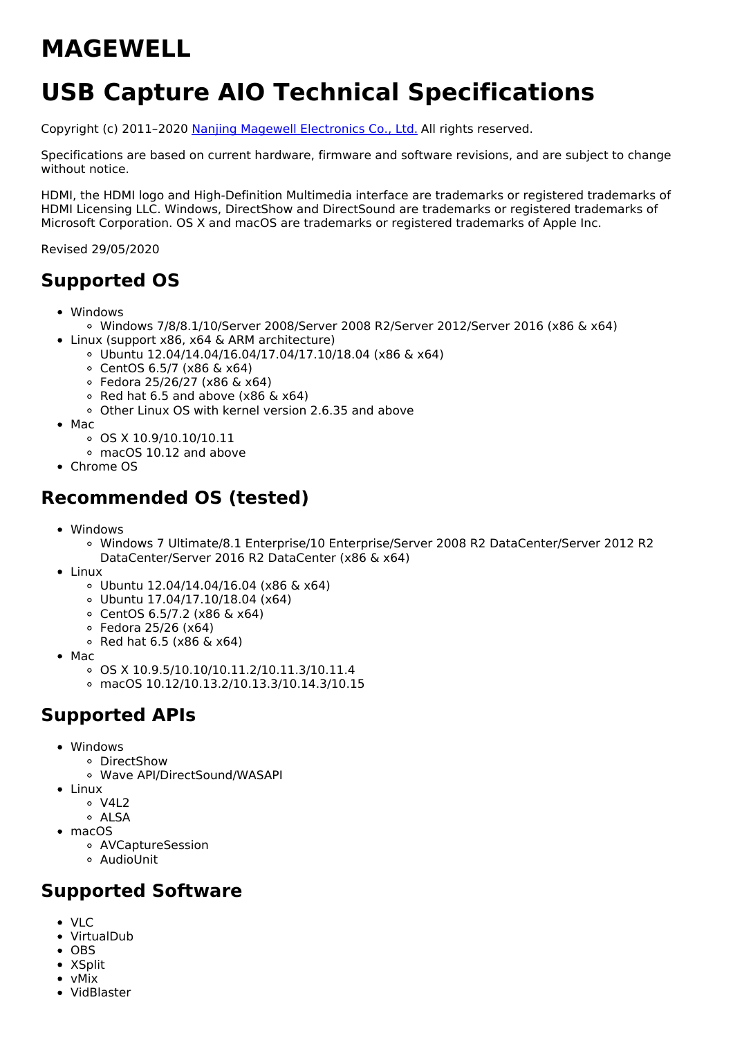# **MAGEWELL**

# **USB Capture AIO Technical Specifications**

Copyright (c) 2011–2020 Nanjing Magewell [Electronics](http://www.magewell.com) Co., Ltd. All rights reserved.

Specifications are based on current hardware, firmware and software revisions, and are subject to change without notice.

HDMI, the HDMI logo and High-Definition Multimedia interface are trademarks or registered trademarks of HDMI Licensing LLC. Windows, DirectShow and DirectSound are trademarks or registered trademarks of Microsoft Corporation. OS X and macOS are trademarks or registered trademarks of Apple Inc.

Revised 29/05/2020

# **Supported OS**

- Windows
- Windows 7/8/8.1/10/Server 2008/Server 2008 R2/Server 2012/Server 2016 (x86 & x64) • Linux (support x86, x64 & ARM architecture)
	- Ubuntu 12.04/14.04/16.04/17.04/17.10/18.04 (x86 & x64)
		- CentOS 6.5/7 (x86 & x64)
		- Fedora 25/26/27 (x86 & x64)
		- $\circ$  Red hat 6.5 and above (x86 & x64)
		- Other Linux OS with kernel version 2.6.35 and above
- Mac
	- OS X 10.9/10.10/10.11
	- macOS 10.12 and above
- Chrome OS

# **Recommended OS (tested)**

- Windows
	- Windows 7 Ultimate/8.1 Enterprise/10 Enterprise/Server 2008 R2 DataCenter/Server 2012 R2 DataCenter/Server 2016 R2 DataCenter (x86 & x64)
- Linux
	- Ubuntu 12.04/14.04/16.04 (x86 & x64)
	- Ubuntu 17.04/17.10/18.04 (x64)
	- CentOS 6.5/7.2 (x86 & x64)
	- Fedora 25/26 (x64)
	- $\circ$  Red hat 6.5 (x86 & x64)
- $•$  Mac
	- OS X 10.9.5/10.10/10.11.2/10.11.3/10.11.4
	- macOS 10.12/10.13.2/10.13.3/10.14.3/10.15

## **Supported APIs**

- Windows
	- DirectShow
	- Wave API/DirectSound/WASAPI
- Linux
	- o V4L2
	- o ALSA
- macOS
	- AVCaptureSession
	- AudioUnit

## **Supported Software**

- VLC
- VirtualDub
- OBS
- XSplit
- vMix
- VidBlaster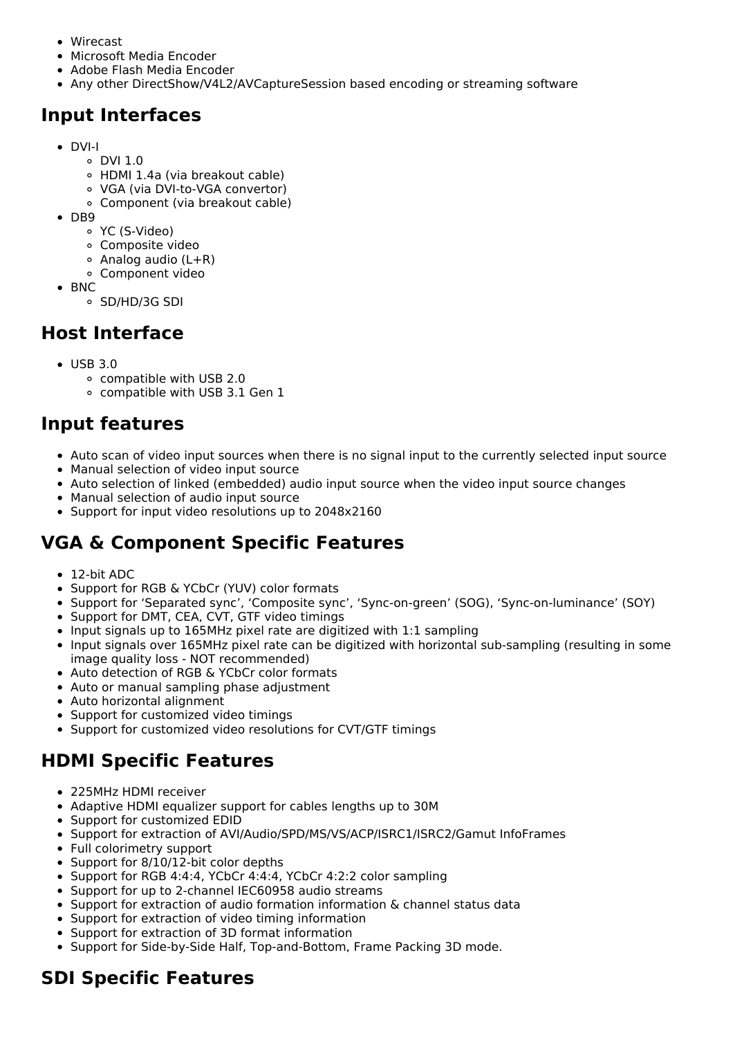- Wirecast
- Microsoft Media Encoder
- Adobe Flash Media Encoder
- Any other DirectShow/V4L2/AVCaptureSession based encoding or streaming software

# **Input Interfaces**

- DVI-I
	- DVI 1.0
	- HDMI 1.4a (via breakout cable)
	- VGA (via DVI-to-VGA convertor)
	- Component (via breakout cable)
- $\bullet$  DB9
	- YC (S-Video)
	- Composite video
	- Analog audio (L+R)
	- Component video
- $\bullet$  BNC
	- SD/HD/3G SDI

# **Host Interface**

- $\bullet$  USB 3.0
	- compatible with USB 2.0
	- compatible with USB 3.1 Gen 1

# **Input features**

- Auto scan of video input sources when there is no signal input to the currently selected input source
- Manual selection of video input source
- Auto selection of linked (embedded) audio input source when the video input source changes
- Manual selection of audio input source
- Support for input video resolutions up to 2048x2160

# **VGA & Component Specific Features**

- 12-bit ADC
- Support for RGB & YCbCr (YUV) color formats
- Support for 'Separated sync', 'Composite sync', 'Sync-on-green' (SOG), 'Sync-on-luminance' (SOY)
- Support for DMT, CEA, CVT, GTF video timings
- Input signals up to 165MHz pixel rate are digitized with 1:1 sampling
- Input signals over 165MHz pixel rate can be digitized with horizontal sub-sampling (resulting in some image quality loss - NOT recommended)
- Auto detection of RGB & YCbCr color formats
- Auto or manual sampling phase adjustment
- Auto horizontal alignment
- Support for customized video timings
- Support for customized video resolutions for CVT/GTF timings

# **HDMI Specific Features**

- 225MHz HDMI receiver
- Adaptive HDMI equalizer support for cables lengths up to 30M
- Support for customized EDID
- Support for extraction of AVI/Audio/SPD/MS/VS/ACP/ISRC1/ISRC2/Gamut InfoFrames
- Full colorimetry support
- Support for 8/10/12-bit color depths
- Support for RGB 4:4:4, YCbCr 4:4:4, YCbCr 4:2:2 color sampling
- Support for up to 2-channel IEC60958 audio streams
- Support for extraction of audio formation information & channel status data
- Support for extraction of video timing information
- Support for extraction of 3D format information
- Support for Side-by-Side Half, Top-and-Bottom, Frame Packing 3D mode.

# **SDI Specific Features**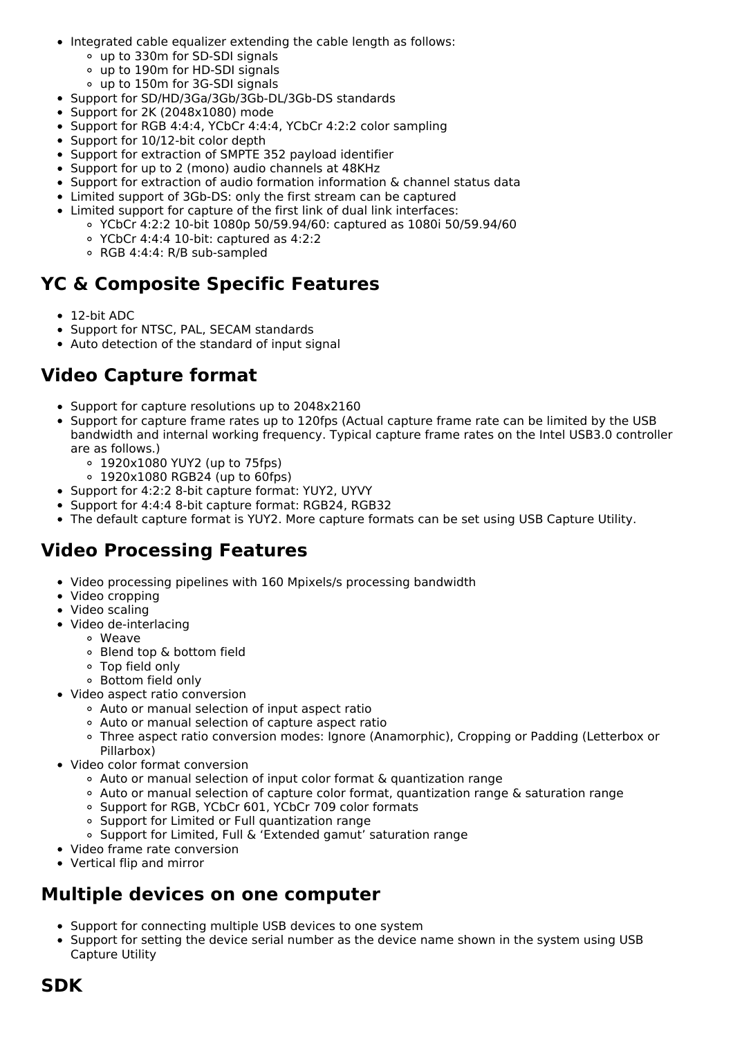- Integrated cable equalizer extending the cable length as follows:
	- up to 330m for SD-SDI signals
	- up to 190m for HD-SDI signals
	- up to 150m for 3G-SDI signals
- Support for SD/HD/3Ga/3Gb/3Gb-DL/3Gb-DS standards
- Support for 2K (2048x1080) mode
- Support for RGB 4:4:4, YCbCr 4:4:4, YCbCr 4:2:2 color sampling
- Support for 10/12-bit color depth
- Support for extraction of SMPTE 352 payload identifier
- Support for up to 2 (mono) audio channels at 48KHz
- Support for extraction of audio formation information & channel status data
- Limited support of 3Gb-DS: only the first stream can be captured
- Limited support for capture of the first link of dual link interfaces:
	- YCbCr 4:2:2 10-bit 1080p 50/59.94/60: captured as 1080i 50/59.94/60
	- YCbCr 4:4:4 10-bit: captured as 4:2:2
	- RGB 4:4:4: R/B sub-sampled

#### **YC & Composite Specific Features**

- 12-bit ADC
- Support for NTSC, PAL, SECAM standards
- Auto detection of the standard of input signal

## **Video Capture format**

- Support for capture resolutions up to 2048x2160
- Support for capture frame rates up to 120fps (Actual capture frame rate can be limited by the USB  $\bullet$ bandwidth and internal working frequency. Typical capture frame rates on the Intel USB3.0 controller are as follows.)
	- 1920x1080 YUY2 (up to 75fps)
	- 1920x1080 RGB24 (up to 60fps)
- Support for 4:2:2 8-bit capture format: YUY2, UYVY
- Support for 4:4:4 8-bit capture format: RGB24, RGB32
- The default capture format is YUY2. More capture formats can be set using USB Capture Utility.

# **Video Processing Features**

- Video processing pipelines with 160 Mpixels/s processing bandwidth
- Video cropping
- Video scaling
- Video de-interlacing
	- Weave
		- Blend top & bottom field
		- Top field only
		- Bottom field only
- Video aspect ratio conversion
	- Auto or manual selection of input aspect ratio
	- Auto or manual selection of capture aspect ratio
	- Three aspect ratio conversion modes: Ignore (Anamorphic), Cropping or Padding (Letterbox or Pillarbox)
- Video color format conversion
	- Auto or manual selection of input color format & quantization range
	- Auto or manual selection of capture color format, quantization range & saturation range
	- o Support for RGB, YCbCr 601, YCbCr 709 color formats
	- Support for Limited or Full quantization range
	- Support for Limited, Full & 'Extended gamut' saturation range
- Video frame rate conversion
- Vertical flip and mirror

## **Multiple devices on one computer**

- Support for connecting multiple USB devices to one system
- Support for setting the device serial number as the device name shown in the system using USB Capture Utility